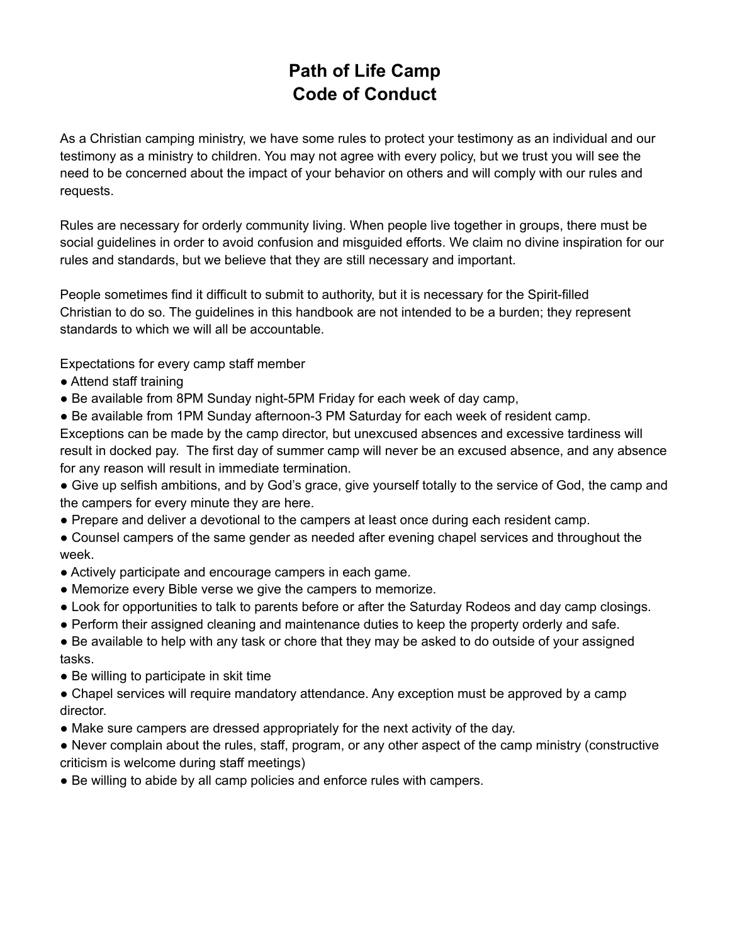# **Path of Life Camp Code of Conduct**

As a Christian camping ministry, we have some rules to protect your testimony as an individual and our testimony as a ministry to children. You may not agree with every policy, but we trust you will see the need to be concerned about the impact of your behavior on others and will comply with our rules and requests.

Rules are necessary for orderly community living. When people live together in groups, there must be social guidelines in order to avoid confusion and misguided efforts. We claim no divine inspiration for our rules and standards, but we believe that they are still necessary and important.

People sometimes find it difficult to submit to authority, but it is necessary for the Spirit-filled Christian to do so. The guidelines in this handbook are not intended to be a burden; they represent standards to which we will all be accountable.

Expectations for every camp staff member

- Attend staff training
- Be available from 8PM Sunday night-5PM Friday for each week of day camp,

● Be available from 1PM Sunday afternoon-3 PM Saturday for each week of resident camp. Exceptions can be made by the camp director, but unexcused absences and excessive tardiness will result in docked pay. The first day of summer camp will never be an excused absence, and any absence

for any reason will result in immediate termination.

• Give up selfish ambitions, and by God's grace, give yourself totally to the service of God, the camp and the campers for every minute they are here.

● Prepare and deliver a devotional to the campers at least once during each resident camp.

● Counsel campers of the same gender as needed after evening chapel services and throughout the week.

- Actively participate and encourage campers in each game.
- Memorize every Bible verse we give the campers to memorize.
- Look for opportunities to talk to parents before or after the Saturday Rodeos and day camp closings.
- Perform their assigned cleaning and maintenance duties to keep the property orderly and safe.

• Be available to help with any task or chore that they may be asked to do outside of your assigned tasks.

● Be willing to participate in skit time

• Chapel services will require mandatory attendance. Any exception must be approved by a camp director.

• Make sure campers are dressed appropriately for the next activity of the day.

● Never complain about the rules, staff, program, or any other aspect of the camp ministry (constructive criticism is welcome during staff meetings)

● Be willing to abide by all camp policies and enforce rules with campers.